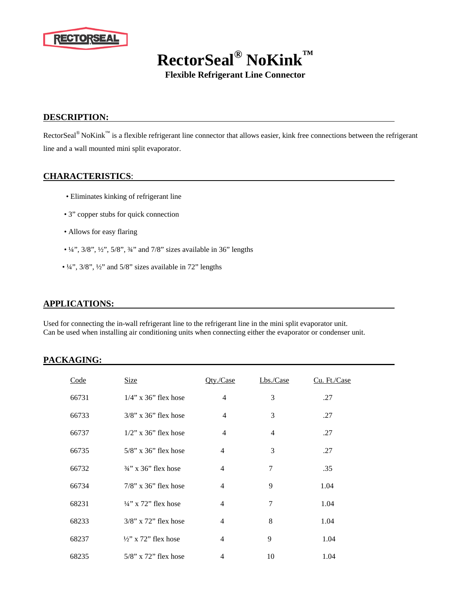

**RectorSeal® NoKink™**

**Flexible Refrigerant Line Connector**

# **DESCRIPTION:**

RectorSeal<sup>®</sup> NoKink™ is a flexible refrigerant line connector that allows easier, kink free connections between the refrigerant line and a wall mounted mini split evaporator.

#### **CHARACTERISTICS**:

- Eliminates kinking of refrigerant line
- 3" copper stubs for quick connection
- Allows for easy flaring
- $\frac{1}{4}$ ,  $\frac{3}{8}$ ,  $\frac{1}{2}$ ,  $\frac{5}{8}$ ,  $\frac{3}{4}$  and  $\frac{7}{8}$  sizes available in 36° lengths
- ¼", 3/8", ½" and 5/8" sizes available in 72" lengths

# **APPLICATIONS:**

Used for connecting the in-wall refrigerant line to the refrigerant line in the mini split evaporator unit. Can be used when installing air conditioning units when connecting either the evaporator or condenser unit.

# **PACKAGING:**

| Code  | <b>Size</b>                     | Oty./Case      | Lbs./Case | Cu. Ft./Case |  |
|-------|---------------------------------|----------------|-----------|--------------|--|
| 66731 | $1/4$ " x 36" flex hose         | $\overline{4}$ | 3         | .27          |  |
| 66733 | $3/8$ " x $36$ " flex hose      | $\overline{4}$ | 3         | .27          |  |
| 66737 | $1/2$ " x 36" flex hose         | $\overline{4}$ | 4         | .27          |  |
| 66735 | $5/8$ " x 36" flex hose         | 4              | 3         | .27          |  |
| 66732 | $\frac{3}{4}$ " x 36" flex hose | $\overline{4}$ | 7         | .35          |  |
| 66734 | $7/8$ " x 36" flex hose         | $\overline{4}$ | 9         | 1.04         |  |
| 68231 | $\frac{1}{4}$ " x 72" flex hose | $\overline{4}$ | 7         | 1.04         |  |
| 68233 | $3/8$ " x 72" flex hose         | $\overline{4}$ | 8         | 1.04         |  |
| 68237 | $\frac{1}{2}$ x 72" flex hose   | 4              | 9         | 1.04         |  |
| 68235 | $5/8$ " x $72$ " flex hose      | 4              | 10        | 1.04         |  |